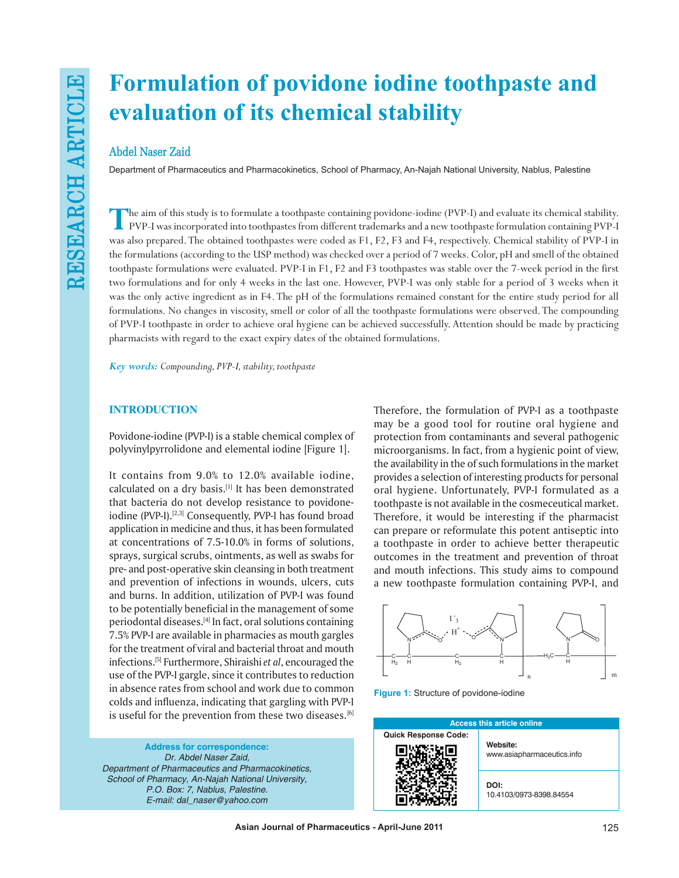# **Formulation of povidone iodine toothpaste and evaluation of its chemical stability**

# **Abdel Naser Zaid**

Department of Pharmaceutics and Pharmacokinetics, School of Pharmacy, An-Najah National University, Nablus, Palestine

The aim of this study is to formulate a toothpaste containing povidone-iodine (PVP-I) and evaluate its chemical stability.<br>PVP-I was incorporated into toothpastes from different trademarks and a new toothpaste formulation was also prepared. The obtained toothpastes were coded as F1, F2, F3 and F4, respectively. Chemical stability of PVP-I in the formulations (according to the USP method) was checked over a period of 7 weeks. Color, pH and smell of the obtained toothpaste formulations were evaluated. PVP-I in F1, F2 and F3 toothpastes was stable over the 7-week period in the first two formulations and for only 4 weeks in the last one. However, PVP-I was only stable for a period of 3 weeks when it was the only active ingredient as in F4. The pH of the formulations remained constant for the entire study period for all formulations. No changes in viscosity, smell or color of all the toothpaste formulations were observed. The compounding of PVP-I toothpaste in order to achieve oral hygiene can be achieved successfully. Attention should be made by practicing pharmacists with regard to the exact expiry dates of the obtained formulations.

*Key words: Compounding, PVP-I, stability, toothpaste*

## **INTRODUCTION**

Povidone-iodine (PVP-I) is a stable chemical complex of polyvinylpyrrolidone and elemental iodine [Figure 1].

It contains from 9.0% to 12.0% available iodine, calculated on a dry basis.[1] It has been demonstrated that bacteria do not develop resistance to povidoneiodine (PVP-I).<sup>[2,3]</sup> Consequently, PVP-I has found broad application in medicine and thus, it has been formulated at concentrations of 7.5-10.0% in forms of solutions, sprays, surgical scrubs, ointments, as well as swabs for pre- and post-operative skin cleansing in both treatment and prevention of infections in wounds, ulcers, cuts and burns. In addition, utilization of PVP-I was found to be potentially beneficial in the management of some periodontal diseases.<sup>[4]</sup> In fact, oral solutions containing 7.5% PVP-I are available in pharmacies as mouth gargles for the treatment of viral and bacterial throat and mouth infections.[5] Furthermore, Shiraishi *et al*, encouraged the use of the PVP-I gargle, since it contributes to reduction in absence rates from school and work due to common colds and influenza, indicating that gargling with PVP-I is useful for the prevention from these two diseases.<sup>[6]</sup>

**Address for correspondence:** *Dr. Abdel Naser Zaid, Department of Pharmaceutics and Pharmacokinetics, School of Pharmacy, An-Najah National University, P.O. Box: 7, Nablus, Palestine. E-mail: dal\_naser@yahoo.com*

Therefore, the formulation of PVP-I as a toothpaste may be a good tool for routine oral hygiene and protection from contaminants and several pathogenic microorganisms. In fact, from a hygienic point of view, the availability in the of such formulations in the market provides a selection of interesting products for personal oral hygiene. Unfortunately, PVP-I formulated as a toothpaste is not available in the cosmeceutical market. Therefore, it would be interesting if the pharmacist can prepare or reformulate this potent antiseptic into a toothpaste in order to achieve better therapeutic outcomes in the treatment and prevention of throat and mouth infections. This study aims to compound a new toothpaste formulation containing PVP-I, and



**Figure 1:** Structure of povidone-iodine

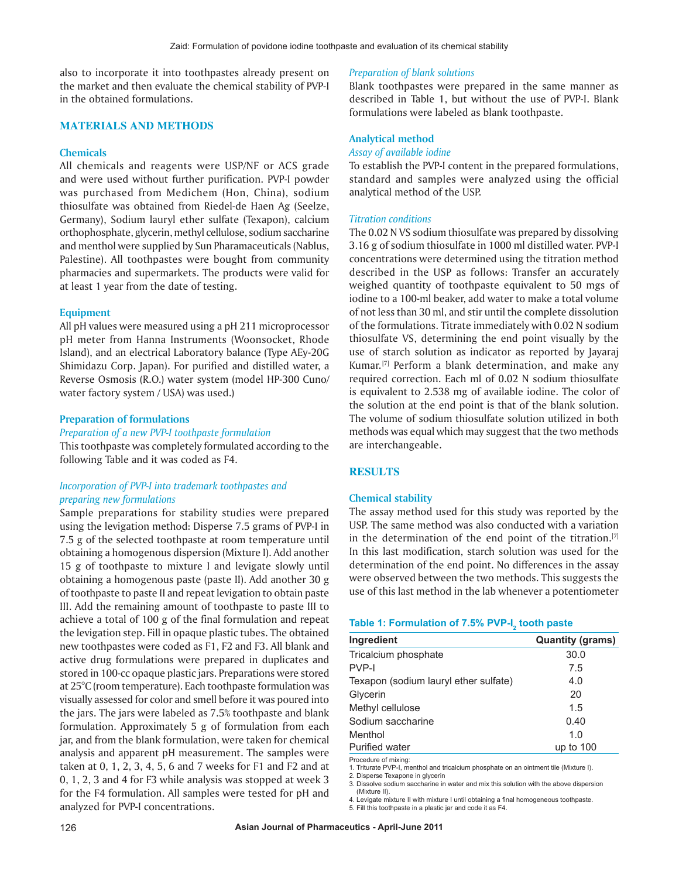also to incorporate it into toothpastes already present on the market and then evaluate the chemical stability of PVP-I in the obtained formulations.

## **MATERIALS AND METHODS**

## **Chemicals**

All chemicals and reagents were USP/NF or ACS grade and were used without further purification. PVP-I powder was purchased from Medichem (Hon, China), sodium thiosulfate was obtained from Riedel-de Haen Ag (Seelze, Germany), Sodium lauryl ether sulfate (Texapon), calcium orthophosphate, glycerin, methyl cellulose, sodium saccharine and menthol were supplied by Sun Pharamaceuticals (Nablus, Palestine). All toothpastes were bought from community pharmacies and supermarkets. The products were valid for at least 1 year from the date of testing.

#### **Equipment**

All pH values were measured using a pH 211 microprocessor pH meter from Hanna Instruments (Woonsocket, Rhode Island), and an electrical Laboratory balance (Type AEy-20G Shimidazu Corp. Japan). For purified and distilled water, a Reverse Osmosis (R.O.) water system (model HP-300 Cuno/ water factory system / USA) was used.)

## **Preparation of formulations**

## *Preparation of a new PVP-I toothpaste formulation*

This toothpaste was completely formulated according to the following Table and it was coded as F4.

## *Incorporation of PVP-I into trademark toothpastes and preparing new formulations*

Sample preparations for stability studies were prepared using the levigation method: Disperse 7.5 grams of PVP-I in 7.5 g of the selected toothpaste at room temperature until obtaining a homogenous dispersion (Mixture I). Add another 15 g of toothpaste to mixture I and levigate slowly until obtaining a homogenous paste (paste II). Add another 30 g of toothpaste to paste II and repeat levigation to obtain paste III. Add the remaining amount of toothpaste to paste III to achieve a total of 100 g of the final formulation and repeat the levigation step. Fill in opaque plastic tubes. The obtained new toothpastes were coded as F1, F2 and F3. All blank and active drug formulations were prepared in duplicates and stored in 100-cc opaque plastic jars. Preparations were stored at 25°C (room temperature). Each toothpaste formulation was visually assessed for color and smell before it was poured into the jars. The jars were labeled as 7.5% toothpaste and blank formulation. Approximately 5 g of formulation from each jar, and from the blank formulation, were taken for chemical analysis and apparent pH measurement. The samples were taken at 0, 1, 2, 3, 4, 5, 6 and 7 weeks for F1 and F2 and at 0, 1, 2, 3 and 4 for F3 while analysis was stopped at week 3 for the F4 formulation. All samples were tested for pH and analyzed for PVP-I concentrations.

#### *Preparation of blank solutions*

Blank toothpastes were prepared in the same manner as described in Table 1, but without the use of PVP-I. Blank formulations were labeled as blank toothpaste.

## **Analytical method**

#### *Assay of available iodine*

To establish the PVP-I content in the prepared formulations, standard and samples were analyzed using the official analytical method of the USP.

#### *Titration conditions*

The 0.02 N VS sodium thiosulfate was prepared by dissolving 3.16 g of sodium thiosulfate in 1000 ml distilled water. PVP-I concentrations were determined using the titration method described in the USP as follows: Transfer an accurately weighed quantity of toothpaste equivalent to 50 mgs of iodine to a 100-ml beaker, add water to make a total volume of not less than 30 ml, and stir until the complete dissolution of the formulations. Titrate immediately with 0.02 N sodium thiosulfate VS, determining the end point visually by the use of starch solution as indicator as reported by Jayaraj Kumar.<sup>[7]</sup> Perform a blank determination, and make any required correction. Each ml of 0.02 N sodium thiosulfate is equivalent to 2.538 mg of available iodine. The color of the solution at the end point is that of the blank solution. The volume of sodium thiosulfate solution utilized in both methods was equal which may suggest that the two methods are interchangeable.

## **RESULTS**

#### **Chemical stability**

The assay method used for this study was reported by the USP. The same method was also conducted with a variation in the determination of the end point of the titration.<sup>[7]</sup> In this last modification, starch solution was used for the determination of the end point. No differences in the assay were observed between the two methods. This suggests the use of this last method in the lab whenever a potentiometer

## **Table 1: Formulation of 7.5% PVP-I<sup>2</sup> tooth paste**

| Ingredient                            | <b>Quantity (grams)</b> |
|---------------------------------------|-------------------------|
| Tricalcium phosphate                  | 30.0                    |
| PVP-I                                 | 7.5                     |
| Texapon (sodium lauryl ether sulfate) | 4.0                     |
| Glycerin                              | 20                      |
| Methyl cellulose                      | 1.5                     |
| Sodium saccharine                     | 0.40                    |
| Menthol                               | 1.0                     |
| <b>Purified water</b>                 | up to $100$             |

Procedure of mixing:

1. Triturate PVP-I, menthol and tricalcium phosphate on an ointment tile (Mixture I).

2. Disperse Texapone in glycerin

3. Dissolve sodium saccharine in water and mix this solution with the above dispersion (Mixture II).

4. Levigate mixture II with mixture I until obtaining a final homogeneous toothpaste.

5. Fill this toothpaste in a plastic jar and code it as F4.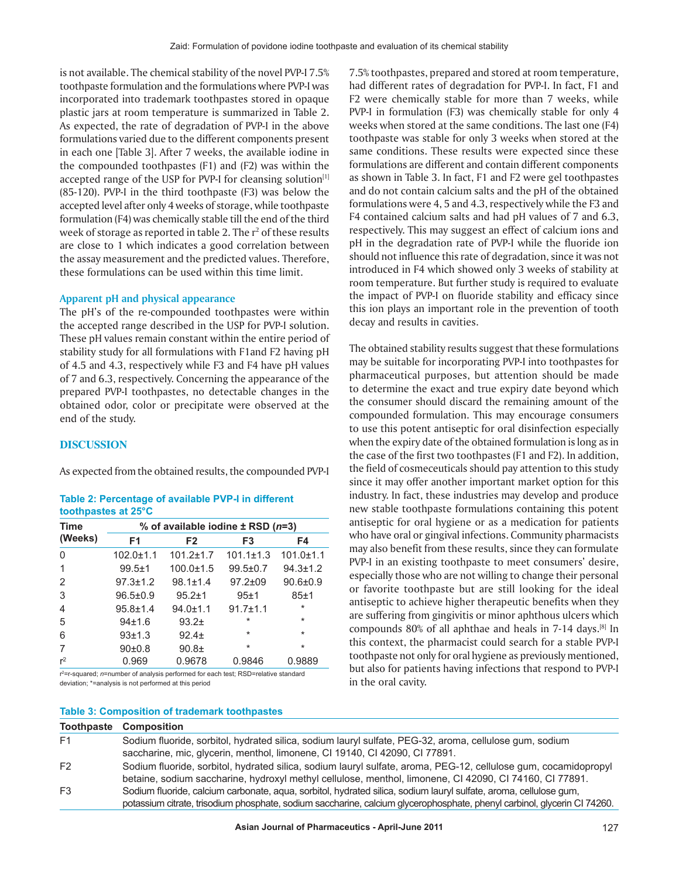is not available. The chemical stability of the novel PVP-I 7.5% toothpaste formulation and the formulations where PVP-I was incorporated into trademark toothpastes stored in opaque plastic jars at room temperature is summarized in Table 2. As expected, the rate of degradation of PVP-I in the above formulations varied due to the different components present in each one [Table 3]. After 7 weeks, the available iodine in the compounded toothpastes (F1) and (F2) was within the accepted range of the USP for PVP-I for cleansing solution<sup>[1]</sup> (85-120). PVP-I in the third toothpaste (F3) was below the accepted level after only 4 weeks of storage, while toothpaste formulation (F4) was chemically stable till the end of the third week of storage as reported in table 2. The  $r^2$  of these results are close to 1 which indicates a good correlation between the assay measurement and the predicted values. Therefore, these formulations can be used within this time limit.

## **Apparent pH and physical appearance**

The pH's of the re-compounded toothpastes were within the accepted range described in the USP for PVP-I solution. These pH values remain constant within the entire period of stability study for all formulations with F1and F2 having pH of 4.5 and 4.3, respectively while F3 and F4 have pH values of 7 and 6.3, respectively. Concerning the appearance of the prepared PVP-I toothpastes, no detectable changes in the obtained odor, color or precipitate were observed at the end of the study.

## **DISCUSSION**

As expected from the obtained results, the compounded PVP-I

| Table 2: Percentage of available PVP-I in different |  |  |
|-----------------------------------------------------|--|--|
| toothpastes at 25°C                                 |  |  |

| <b>Time</b> | % of available iodine $\pm$ RSD ( $n=3$ ) |                   |                 |                 |
|-------------|-------------------------------------------|-------------------|-----------------|-----------------|
| (Weeks)     | F <sub>1</sub>                            | F <sub>2</sub>    | F <sub>3</sub>  | F4              |
| 0           | $102.0 \pm 1.1$                           | $101.2 \pm 1.7$   | $101.1 \pm 1.3$ | $101.0 \pm 1.1$ |
| 1           | $99.5 \pm 1$                              | $100.0 \pm 1.5$   | $99.5 \pm 0.7$  | $94.3 \pm 1.2$  |
| 2           | $97.3 \pm 1.2$                            | $98.1 + 1.4$      | $97.2 \pm 09$   | $90.6 + 0.9$    |
| 3           | $96.5 \pm 0.9$                            | $95.2 \pm 1$      | $95+1$          | $85 + 1$        |
| 4           | $95.8 \pm 1.4$                            | $94.0 \pm 1.1$    | $91.7 \pm 1.1$  | $^\star$        |
| 5           | 94±1.6                                    | $93.2+$           | $\star$         | $\star$         |
| 6           | 93±1.3                                    | 92.4 <sub>±</sub> | $\star$         | $\star$         |
| 7           | 90 <sub>±</sub> 0.8                       | $90.8 +$          | $\star$         | $\star$         |
| $r^2$       | 0.969                                     | 0.9678            | 0.9846          | 0.9889          |

r<sup>2</sup>=r-squared; *n*=number of analysis performed for each test; RSD=relative standard deviation; \*=analysis is not performed at this period

#### **Table 3: Composition of trademark toothpastes**

7.5% toothpastes, prepared and stored at room temperature, had different rates of degradation for PVP-I. In fact, F1 and F2 were chemically stable for more than 7 weeks, while PVP-I in formulation (F3) was chemically stable for only 4 weeks when stored at the same conditions. The last one (F4) toothpaste was stable for only 3 weeks when stored at the same conditions. These results were expected since these formulations are different and contain different components as shown in Table 3. In fact, F1 and F2 were gel toothpastes and do not contain calcium salts and the pH of the obtained formulations were 4, 5 and 4.3, respectively while the F3 and F4 contained calcium salts and had pH values of 7 and 6.3, respectively. This may suggest an effect of calcium ions and pH in the degradation rate of PVP-I while the fluoride ion should not influence this rate of degradation, since it was not introduced in F4 which showed only 3 weeks of stability at room temperature. But further study is required to evaluate the impact of PVP-I on fluoride stability and efficacy since this ion plays an important role in the prevention of tooth decay and results in cavities.

The obtained stability results suggest that these formulations may be suitable for incorporating PVP-I into toothpastes for pharmaceutical purposes, but attention should be made to determine the exact and true expiry date beyond which the consumer should discard the remaining amount of the compounded formulation. This may encourage consumers to use this potent antiseptic for oral disinfection especially when the expiry date of the obtained formulation is long as in the case of the first two toothpastes (F1 and F2). In addition, the field of cosmeceuticals should pay attention to this study since it may offer another important market option for this industry. In fact, these industries may develop and produce new stable toothpaste formulations containing this potent antiseptic for oral hygiene or as a medication for patients who have oral or gingival infections. Community pharmacists may also benefit from these results, since they can formulate PVP-I in an existing toothpaste to meet consumers' desire, especially those who are not willing to change their personal or favorite toothpaste but are still looking for the ideal antiseptic to achieve higher therapeutic benefits when they are suffering from gingivitis or minor aphthous ulcers which compounds 80% of all aphthae and heals in 7-14 days.[8] In this context, the pharmacist could search for a stable PVP-I toothpaste not only for oral hygiene as previously mentioned, but also for patients having infections that respond to PVP-I in the oral cavity.

|                | <b>Toothpaste Composition</b>                                                                                            |
|----------------|--------------------------------------------------------------------------------------------------------------------------|
| F1             | Sodium fluoride, sorbitol, hydrated silica, sodium lauryl sulfate, PEG-32, aroma, cellulose gum, sodium                  |
|                | saccharine, mic, glycerin, menthol, limonene, CI 19140, CI 42090, CI 77891.                                              |
| F <sub>2</sub> | Sodium fluoride, sorbitol, hydrated silica, sodium lauryl sulfate, aroma, PEG-12, cellulose gum, cocamidopropyl          |
|                | betaine, sodium saccharine, hydroxyl methyl cellulose, menthol, limonene, CI 42090, CI 74160, CI 77891.                  |
| F3             | Sodium fluoride, calcium carbonate, aqua, sorbitol, hydrated silica, sodium lauryl sulfate, aroma, cellulose gum,        |
|                | potassium citrate, trisodium phosphate, sodium saccharine, calcium glycerophosphate, phenyl carbinol, glycerin CI 74260. |